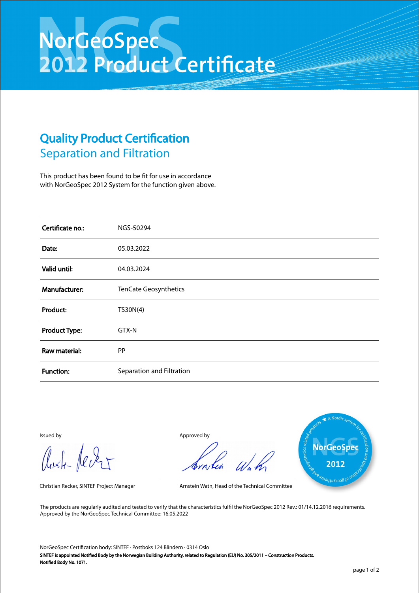## NorGeoSpec<br>2012 Product Certificate

## Quality Product Certification Separation and Filtration

This product has been found to be fit for use in accordance with NorGeoSpec 2012 System for the function given above.

| Certificate no.:     | NGS-50294                 |
|----------------------|---------------------------|
| Date:                | 05.03.2022                |
| Valid until:         | 04.03.2024                |
| Manufacturer:        | TenCate Geosynthetics     |
| Product:             | TS30N(4)                  |
| <b>Product Type:</b> | GTX-N                     |
| Raw material:        | <b>PP</b>                 |
| <b>Function:</b>     | Separation and Filtration |

Aust-Jever

Issued by Approved by



Christian Recker, SINTEF Project Manager Arnstein Watn, Head of the Technical Committee

The products are regularly audited and tested to verify that the characteristics fulfil the NorGeoSpec 2012 Rev.: 01/14.12.2016 requirements. Approved by the NorGeoSpec Technical Committee: 16.05.2022